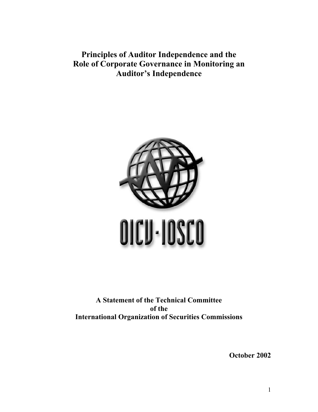**Principles of Auditor Independence and the Role of Corporate Governance in Monitoring an Auditor's Independence** 



**A Statement of the Technical Committee of the International Organization of Securities Commissions** 

**October 2002** 

1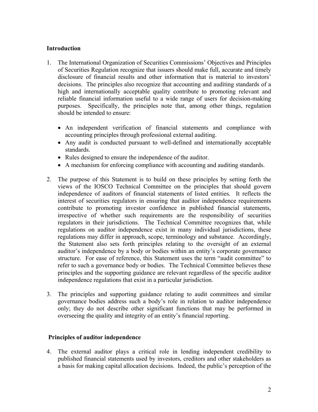## **Introduction**

- 1. The International Organization of Securities Commissions' Objectives and Principles of Securities Regulation recognize that issuers should make full, accurate and timely disclosure of financial results and other information that is material to investors' decisions. The principles also recognize that accounting and auditing standards of a high and internationally acceptable quality contribute to promoting relevant and reliable financial information useful to a wide range of users for decision-making purposes. Specifically, the principles note that, among other things, regulation should be intended to ensure:
	- An independent verification of financial statements and compliance with accounting principles through professional external auditing.
	- Any audit is conducted pursuant to well-defined and internationally acceptable standards.
	- Rules designed to ensure the independence of the auditor.
	- A mechanism for enforcing compliance with accounting and auditing standards.
- 2. The purpose of this Statement is to build on these principles by setting forth the views of the IOSCO Technical Committee on the principles that should govern independence of auditors of financial statements of listed entities. It reflects the interest of securities regulators in ensuring that auditor independence requirements contribute to promoting investor confidence in published financial statements, irrespective of whether such requirements are the responsibility of securities regulators in their jurisdictions. The Technical Committee recognizes that, while regulations on auditor independence exist in many individual jurisdictions, these regulations may differ in approach, scope, terminology and substance. Accordingly, the Statement also sets forth principles relating to the oversight of an external auditor's independence by a body or bodies within an entity's corporate governance structure. For ease of reference, this Statement uses the term "audit committee" to refer to such a governance body or bodies. The Technical Committee believes these principles and the supporting guidance are relevant regardless of the specific auditor independence regulations that exist in a particular jurisdiction.
- 3. The principles and supporting guidance relating to audit committees and similar governance bodies address such a body's role in relation to auditor independence only; they do not describe other significant functions that may be performed in overseeing the quality and integrity of an entity's financial reporting.

## **Principles of auditor independence**

4. The external auditor plays a critical role in lending independent credibility to published financial statements used by investors, creditors and other stakeholders as a basis for making capital allocation decisions. Indeed, the public's perception of the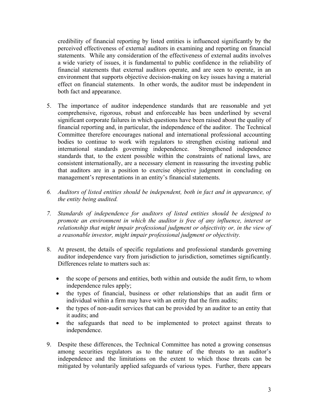credibility of financial reporting by listed entities is influenced significantly by the perceived effectiveness of external auditors in examining and reporting on financial statements. While any consideration of the effectiveness of external audits involves a wide variety of issues, it is fundamental to public confidence in the reliability of financial statements that external auditors operate, and are seen to operate, in an environment that supports objective decision-making on key issues having a material effect on financial statements. In other words, the auditor must be independent in both fact and appearance.

- 5. The importance of auditor independence standards that are reasonable and yet comprehensive, rigorous, robust and enforceable has been underlined by several significant corporate failures in which questions have been raised about the quality of financial reporting and, in particular, the independence of the auditor. The Technical Committee therefore encourages national and international professional accounting bodies to continue to work with regulators to strengthen existing national and international standards governing independence. Strengthened independence standards that, to the extent possible within the constraints of national laws, are consistent internationally, are a necessary element in reassuring the investing public that auditors are in a position to exercise objective judgment in concluding on management's representations in an entity's financial statements.
- *6. Auditors of listed entities should be independent, both in fact and in appearance, of the entity being audited.*
- *7. Standards of independence for auditors of listed entities should be designed to promote an environment in which the auditor is free of any influence, interest or relationship that might impair professional judgment or objectivity or, in the view of a reasonable investor, might impair professional judgment or objectivity.*
- 8. At present, the details of specific regulations and professional standards governing auditor independence vary from jurisdiction to jurisdiction, sometimes significantly. Differences relate to matters such as:
	- the scope of persons and entities, both within and outside the audit firm, to whom independence rules apply;
	- the types of financial, business or other relationships that an audit firm or individual within a firm may have with an entity that the firm audits;
	- the types of non-audit services that can be provided by an auditor to an entity that it audits; and
	- the safeguards that need to be implemented to protect against threats to independence.
- 9. Despite these differences, the Technical Committee has noted a growing consensus among securities regulators as to the nature of the threats to an auditor's independence and the limitations on the extent to which those threats can be mitigated by voluntarily applied safeguards of various types. Further, there appears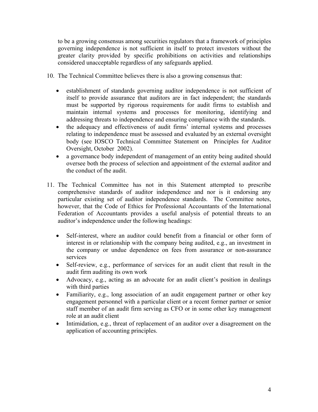to be a growing consensus among securities regulators that a framework of principles governing independence is not sufficient in itself to protect investors without the greater clarity provided by specific prohibitions on activities and relationships considered unacceptable regardless of any safeguards applied.

- 10. The Technical Committee believes there is also a growing consensus that:
	- establishment of standards governing auditor independence is not sufficient of itself to provide assurance that auditors are in fact independent; the standards must be supported by rigorous requirements for audit firms to establish and maintain internal systems and processes for monitoring, identifying and addressing threats to independence and ensuring compliance with the standards.
	- the adequacy and effectiveness of audit firms' internal systems and processes relating to independence must be assessed and evaluated by an external oversight body (see IOSCO Technical Committee Statement on Principles for Auditor Oversight, October 2002).
	- a governance body independent of management of an entity being audited should oversee both the process of selection and appointment of the external auditor and the conduct of the audit.
- 11. The Technical Committee has not in this Statement attempted to prescribe comprehensive standards of auditor independence and nor is it endorsing any particular existing set of auditor independence standards. The Committee notes, however, that the Code of Ethics for Professional Accountants of the International Federation of Accountants provides a useful analysis of potential threats to an auditor's independence under the following headings:
	- Self-interest, where an auditor could benefit from a financial or other form of interest in or relationship with the company being audited, e.g., an investment in the company or undue dependence on fees from assurance or non-assurance services
	- Self-review, e.g., performance of services for an audit client that result in the audit firm auditing its own work
	- Advocacy, e.g., acting as an advocate for an audit client's position in dealings with third parties
	- Familiarity, e.g., long association of an audit engagement partner or other key engagement personnel with a particular client or a recent former partner or senior staff member of an audit firm serving as CFO or in some other key management role at an audit client
	- Intimidation, e.g., threat of replacement of an auditor over a disagreement on the application of accounting principles.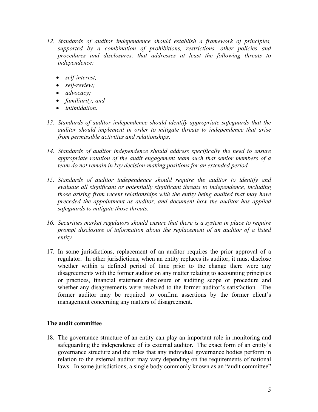- *12. Standards of auditor independence should establish a framework of principles, supported by a combination of prohibitions, restrictions, other policies and procedures and disclosures, that addresses at least the following threats to independence:* 
	- *self-interest;*
	- *self-review;*
	- *advocacy;*
	- *familiarity; and*
	- *intimidation.*
- *13. Standards of auditor independence should identify appropriate safeguards that the auditor should implement in order to mitigate threats to independence that arise from permissible activities and relationships.*
- *14. Standards of auditor independence should address specifically the need to ensure appropriate rotation of the audit engagement team such that senior members of a team do not remain in key decision-making positions for an extended period.*
- *15. Standards of auditor independence should require the auditor to identify and evaluate all significant or potentially significant threats to independence, including those arising from recent relationships with the entity being audited that may have preceded the appointment as auditor, and document how the auditor has applied safeguards to mitigate those threats.*
- *16. Securities market regulators should ensure that there is a system in place to require prompt disclosure of information about the replacement of an auditor of a listed entity.*
- 17. In some jurisdictions, replacement of an auditor requires the prior approval of a regulator. In other jurisdictions, when an entity replaces its auditor, it must disclose whether within a defined period of time prior to the change there were any disagreements with the former auditor on any matter relating to accounting principles or practices, financial statement disclosure or auditing scope or procedure and whether any disagreements were resolved to the former auditor's satisfaction. The former auditor may be required to confirm assertions by the former client's management concerning any matters of disagreement.

## **The audit committee**

18. The governance structure of an entity can play an important role in monitoring and safeguarding the independence of its external auditor. The exact form of an entity's governance structure and the roles that any individual governance bodies perform in relation to the external auditor may vary depending on the requirements of national laws. In some jurisdictions, a single body commonly known as an "audit committee"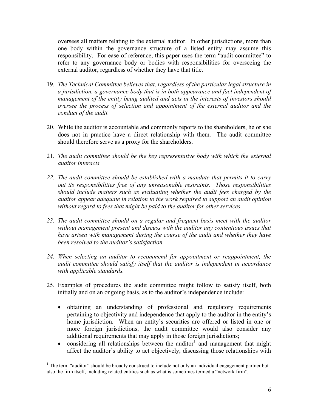oversees all matters relating to the external auditor. In other jurisdictions, more than one body within the governance structure of a listed entity may assume this responsibility. For ease of reference, this paper uses the term "audit committee" to refer to any governance body or bodies with responsibilities for overseeing the external auditor, regardless of whether they have that title.

- 19. *The Technical Committee believes that, regardless of the particular legal structure in a jurisdiction, a governance body that is in both appearance and fact independent of management of the entity being audited and acts in the interests of investors should oversee the process of selection and appointment of the external auditor and the conduct of the audit.*
- 20. While the auditor is accountable and commonly reports to the shareholders, he or she does not in practice have a direct relationship with them. The audit committee should therefore serve as a proxy for the shareholders.
- 21. *The audit committee should be the key representative body with which the external auditor interacts.*
- *22. The audit committee should be established with a mandate that permits it to carry out its responsibilities free of any unreasonable restraints. Those responsibilities should include matters such as evaluating whether the audit fees charged by the auditor appear adequate in relation to the work required to support an audit opinion without regard to fees that might be paid to the auditor for other services.*
- *23. The audit committee should on a regular and frequent basis meet with the auditor without management present and discuss with the auditor any contentious issues that have arisen with management during the course of the audit and whether they have been resolved to the auditor's satisfaction.*
- *24. When selecting an auditor to recommend for appointment or reappointment, the audit committee should satisfy itself that the auditor is independent in accordance with applicable standards.*
- 25. Examples of procedures the audit committee might follow to satisfy itself, both initially and on an ongoing basis, as to the auditor's independence include:
	- obtaining an understanding of professional and regulatory requirements pertaining to objectivity and independence that apply to the auditor in the entity's home jurisdiction. When an entity's securities are offered or listed in one or more foreign jurisdictions, the audit committee would also consider any additional requirements that may apply in those foreign jurisdictions;
	- considering all relationships between the auditor<sup>1</sup> and management that might affect the auditor's ability to act objectively, discussing those relationships with

 $\overline{\phantom{a}}$ 

<sup>&</sup>lt;sup>1</sup> The term "auditor" should be broadly construed to include not only an individual engagement partner but also the firm itself, including related entities such as what is sometimes termed a "network firm".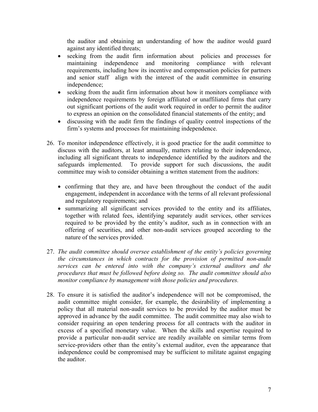the auditor and obtaining an understanding of how the auditor would guard against any identified threats;

- seeking from the audit firm information about policies and processes for maintaining independence and monitoring compliance with relevant requirements, including how its incentive and compensation policies for partners and senior staff align with the interest of the audit committee in ensuring independence;
- seeking from the audit firm information about how it monitors compliance with independence requirements by foreign affiliated or unaffiliated firms that carry out significant portions of the audit work required in order to permit the auditor to express an opinion on the consolidated financial statements of the entity; and
- discussing with the audit firm the findings of quality control inspections of the firm's systems and processes for maintaining independence.
- 26. To monitor independence effectively, it is good practice for the audit committee to discuss with the auditors, at least annually, matters relating to their independence, including all significant threats to independence identified by the auditors and the safeguards implemented. To provide support for such discussions, the audit committee may wish to consider obtaining a written statement from the auditors:
	- confirming that they are, and have been throughout the conduct of the audit engagement, independent in accordance with the terms of all relevant professional and regulatory requirements; and
	- summarizing all significant services provided to the entity and its affiliates, together with related fees, identifying separately audit services, other services required to be provided by the entity's auditor, such as in connection with an offering of securities, and other non-audit services grouped according to the nature of the services provided.
- 27. *The audit committee should oversee establishment of the entity's policies governing the circumstances in which contracts for the provision of permitted non-audit services can be entered into with the company's external auditors and the procedures that must be followed before doing so. The audit committee should also monitor compliance by management with those policies and procedures.*
- 28. To ensure it is satisfied the auditor's independence will not be compromised, the audit committee might consider, for example, the desirability of implementing a policy that all material non-audit services to be provided by the auditor must be approved in advance by the audit committee. The audit committee may also wish to consider requiring an open tendering process for all contracts with the auditor in excess of a specified monetary value. When the skills and expertise required to provide a particular non-audit service are readily available on similar terms from service-providers other than the entity's external auditor, even the appearance that independence could be compromised may be sufficient to militate against engaging the auditor.